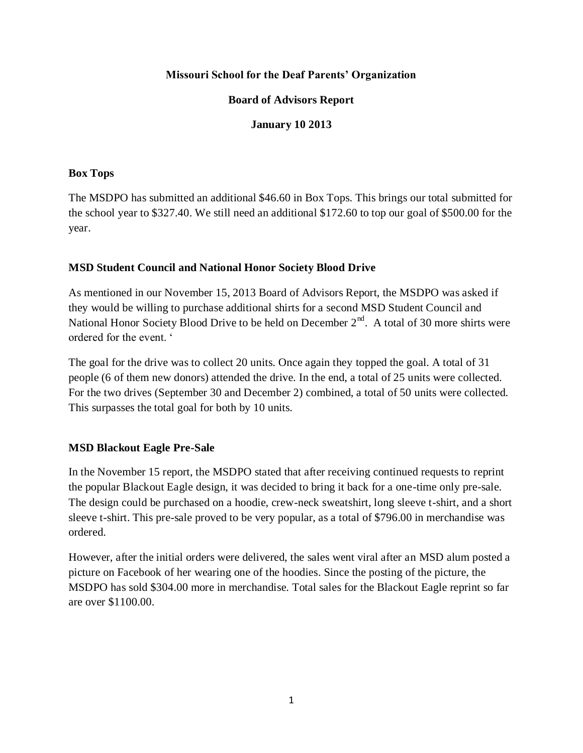### **Missouri School for the Deaf Parents' Organization**

## **Board of Advisors Report**

## **January 10 2013**

#### **Box Tops**

The MSDPO has submitted an additional \$46.60 in Box Tops. This brings our total submitted for the school year to \$327.40. We still need an additional \$172.60 to top our goal of \$500.00 for the year.

#### **MSD Student Council and National Honor Society Blood Drive**

As mentioned in our November 15, 2013 Board of Advisors Report, the MSDPO was asked if they would be willing to purchase additional shirts for a second MSD Student Council and National Honor Society Blood Drive to be held on December  $2<sup>nd</sup>$ . A total of 30 more shirts were ordered for the event. '

The goal for the drive was to collect 20 units. Once again they topped the goal. A total of 31 people (6 of them new donors) attended the drive. In the end, a total of 25 units were collected. For the two drives (September 30 and December 2) combined, a total of 50 units were collected. This surpasses the total goal for both by 10 units.

# **MSD Blackout Eagle Pre-Sale**

In the November 15 report, the MSDPO stated that after receiving continued requests to reprint the popular Blackout Eagle design, it was decided to bring it back for a one-time only pre-sale. The design could be purchased on a hoodie, crew-neck sweatshirt, long sleeve t-shirt, and a short sleeve t-shirt. This pre-sale proved to be very popular, as a total of \$796.00 in merchandise was ordered.

However, after the initial orders were delivered, the sales went viral after an MSD alum posted a picture on Facebook of her wearing one of the hoodies. Since the posting of the picture, the MSDPO has sold \$304.00 more in merchandise. Total sales for the Blackout Eagle reprint so far are over \$1100.00.